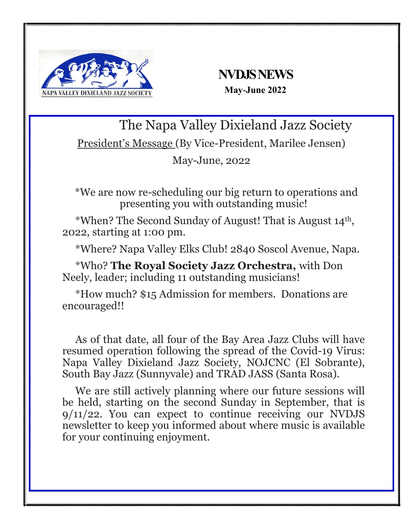

# **NVDJS NEWS May-June 2022**

The Napa Valley Dixieland Jazz Society

President's Message (By Vice-President, Marilee Jensen)

May-June, 2022

\*We are now re-scheduling our big return to operations and presenting you with outstanding music!

 \*When? The Second Sunday of August! That is August 14th , 2022, starting at 1:00 pm.

\*Where? Napa Valley Elks Club! 2840 Soscol Avenue, Napa.

 \*Who? **The Royal Society Jazz Orchestra,** with Don Neely, leader; including 11 outstanding musicians!

 \*How much? \$15 Admission for members. Donations are encouraged!!

 As of that date, all four of the Bay Area Jazz Clubs will have resumed operation following the spread of the Covid-19 Virus: Napa Valley Dixieland Jazz Society, NOJCNC (El Sobrante), South Bay Jazz (Sunnyvale) and TRAD JASS (Santa Rosa).

 We are still actively planning where our future sessions will be held, starting on the second Sunday in September, that is 9/11/22. You can expect to continue receiving our NVDJS newsletter to keep you informed about where music is available for your continuing enjoyment.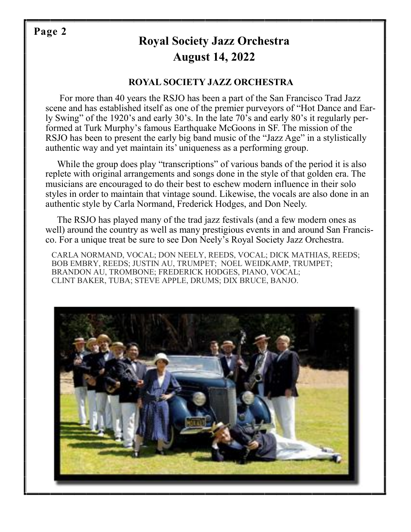# **Page 2**

# **Royal Society Jazz Orchestra August 14, 2022**

### **ROYAL SOCIETY JAZZ ORCHESTRA**

 For more than 40 years the RSJO has been a part of the San Francisco Trad Jazz scene and has established itself as one of the premier purveyors of "Hot Dance and Early Swing" of the 1920's and early 30's. In the late 70's and early 80's it regularly performed at Turk Murphy's famous Earthquake McGoons in SF. The mission of the RSJO has been to present the early big band music of the "Jazz Age" in a stylistically authentic way and yet maintain its' uniqueness as a performing group.

While the group does play "transcriptions" of various bands of the period it is also replete with original arrangements and songs done in the style of that golden era. The musicians are encouraged to do their best to eschew modern influence in their solo styles in order to maintain that vintage sound. Likewise, the vocals are also done in an authentic style by Carla Normand, Frederick Hodges, and Don Neely.

 The RSJO has played many of the trad jazz festivals (and a few modern ones as well) around the country as well as many prestigious events in and around San Francisco. For a unique treat be sure to see Don Neely's Royal Society Jazz Orchestra.

 CARLA NORMAND, VOCAL; DON NEELY, REEDS, VOCAL; DICK MATHIAS, REEDS; BOB EMBRY, REEDS; JUSTIN AU, TRUMPET; NOEL WEIDKAMP, TRUMPET; BRANDON AU, TROMBONE; FREDERICK HODGES, PIANO, VOCAL; CLINT BAKER, TUBA; STEVE APPLE, DRUMS; DIX BRUCE, BANJO.

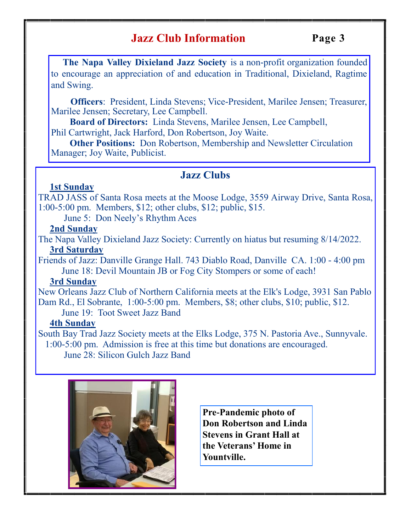# **Jazz Club Information**

 **The Napa Valley Dixieland Jazz Society** is a non-profit organization founded to encourage an appreciation of and education in Traditional, Dixieland, Ragtime and Swing.

 **Officers**: President, Linda Stevens; Vice-President, Marilee Jensen; Treasurer, Marilee Jensen; Secretary, Lee Campbell.

 **Board of Directors:** Linda Stevens, Marilee Jensen, Lee Campbell, Phil Cartwright, Jack Harford, Don Robertson, Joy Waite.

 **Other Positions:** Don Robertson, Membership and Newsletter Circulation Manager; Joy Waite, Publicist.

# **Jazz Clubs**

#### **1st Sunday**

TRAD JASS of Santa Rosa meets at the Moose Lodge, 3559 Airway Drive, Santa Rosa, 1:00-5:00 pm. Members, \$12; other clubs, \$12; public, \$15.

June 5: Don Neely's Rhythm Aces

### **2nd Sunday**

The Napa Valley Dixieland Jazz Society: Currently on hiatus but resuming 8/14/2022. **3rd Saturday**

Friends of Jazz: Danville Grange Hall. 743 Diablo Road, Danville CA. 1:00 - 4:00 pm June 18: Devil Mountain JB or Fog City Stompers or some of each!

#### **3rd Sunday**

New Orleans Jazz Club of Northern California meets at the Elk's Lodge, 3931 San Pablo Dam Rd., El Sobrante, 1:00-5:00 pm. Members, \$8; other clubs, \$10; public, \$12.

June 19: Toot Sweet Jazz Band

#### **4th Sunday**

South Bay Trad Jazz Society meets at the Elks Lodge, 375 N. Pastoria Ave., Sunnyvale. 1:00-5:00 pm. Admission is free at this time but donations are encouraged.

June 28: Silicon Gulch Jazz Band



**Pre-Pandemic photo of Don Robertson and Linda Stevens in Grant Hall at the Veterans' Home in Yountville.**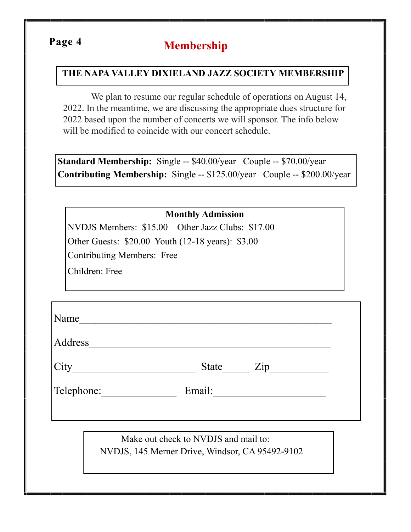# **Membership Page 4**

## **THE NAPA VALLEY DIXIELAND JAZZ SOCIETY MEMBERSHIP**

 We plan to resume our regular schedule of operations on August 14, 2022. In the meantime, we are discussing the appropriate dues structure for 2022 based upon the number of concerts we will sponsor. The info below will be modified to coincide with our concert schedule.

**Standard Membership:** Single -- \$40.00/year Couple -- \$70.00/year **Contributing Membership:** Single -- \$125.00/year Couple -- \$200.00/year

|                                   | <b>Monthly Admission</b>                          |  |
|-----------------------------------|---------------------------------------------------|--|
|                                   | NVDJS Members: \$15.00 Other Jazz Clubs: \$17.00  |  |
|                                   | Other Guests: \$20.00 Youth (12-18 years): \$3.00 |  |
| <b>Contributing Members: Free</b> |                                                   |  |
| Children: Free                    |                                                   |  |
|                                   |                                                   |  |
|                                   |                                                   |  |
|                                   | Name                                              |  |
|                                   |                                                   |  |
|                                   | Address                                           |  |
|                                   |                                                   |  |
|                                   | Telephone: Email:                                 |  |
|                                   |                                                   |  |
|                                   |                                                   |  |
|                                   | Make out check to NVDJS and mail to:              |  |
|                                   | NVDJS, 145 Merner Drive, Windsor, CA 95492-9102   |  |
|                                   |                                                   |  |
|                                   |                                                   |  |